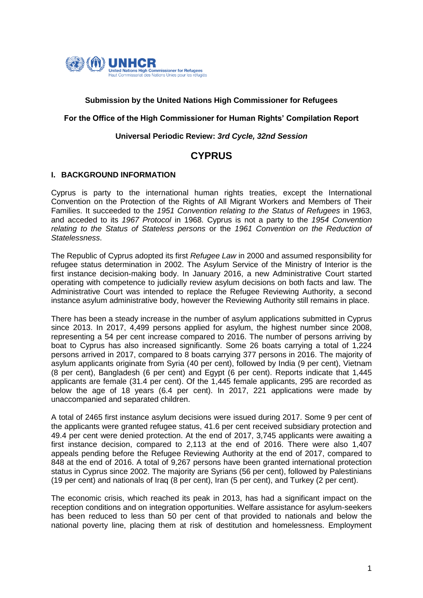

## **Submission by the United Nations High Commissioner for Refugees**

#### **For the Office of the High Commissioner for Human Rights' Compilation Report**

## **Universal Periodic Review:** *3rd Cycle, 32nd Session*

# **CYPRUS**

## **I. BACKGROUND INFORMATION**

Cyprus is party to the international human rights treaties, except the International Convention on the Protection of the Rights of All Migrant Workers and Members of Their Families. It succeeded to the *1951 Convention relating to the Status of Refugees* in 1963, and acceded to its *1967 Protocol* in 1968. Cyprus is not a party to the *1954 Convention relating to the Status of Stateless persons* or the *1961 Convention on the Reduction of Statelessness*.

The Republic of Cyprus adopted its first *Refugee Law* in 2000 and assumed responsibility for refugee status determination in 2002. The Asylum Service of the Ministry of Interior is the first instance decision-making body. In January 2016, a new Administrative Court started operating with competence to judicially review asylum decisions on both facts and law. The Administrative Court was intended to replace the Refugee Reviewing Authority, a second instance asylum administrative body, however the Reviewing Authority still remains in place.

There has been a steady increase in the number of asylum applications submitted in Cyprus since 2013. In 2017, 4,499 persons applied for asylum, the highest number since 2008, representing a 54 per cent increase compared to 2016. The number of persons arriving by boat to Cyprus has also increased significantly. Some 26 boats carrying a total of 1,224 persons arrived in 2017, compared to 8 boats carrying 377 persons in 2016. The majority of asylum applicants originate from Syria (40 per cent), followed by India (9 per cent), Vietnam (8 per cent), Bangladesh (6 per cent) and Egypt (6 per cent). Reports indicate that 1,445 applicants are female (31.4 per cent). Of the 1,445 female applicants, 295 are recorded as below the age of 18 years (6.4 per cent). In 2017, 221 applications were made by unaccompanied and separated children.

A total of 2465 first instance asylum decisions were issued during 2017. Some 9 per cent of the applicants were granted refugee status, 41.6 per cent received subsidiary protection and 49.4 per cent were denied protection. At the end of 2017, 3,745 applicants were awaiting a first instance decision, compared to 2,113 at the end of 2016. There were also 1,407 appeals pending before the Refugee Reviewing Authority at the end of 2017, compared to 848 at the end of 2016. A total of 9,267 persons have been granted international protection status in Cyprus since 2002. The majority are Syrians (56 per cent), followed by Palestinians (19 per cent) and nationals of Iraq (8 per cent), Iran (5 per cent), and Turkey (2 per cent).

The economic crisis, which reached its peak in 2013, has had a significant impact on the reception conditions and on integration opportunities. Welfare assistance for asylum-seekers has been reduced to less than 50 per cent of that provided to nationals and below the national poverty line, placing them at risk of destitution and homelessness. Employment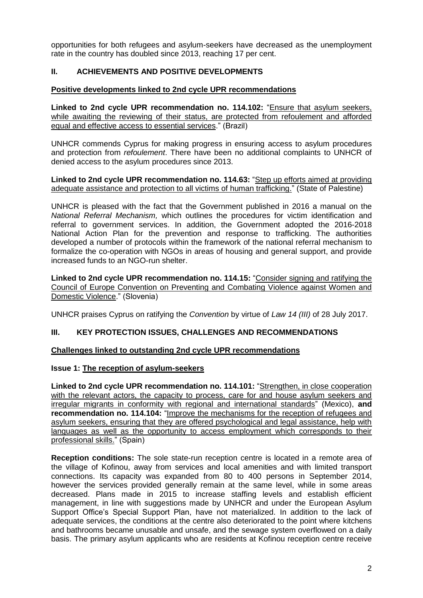opportunities for both refugees and asylum-seekers have decreased as the unemployment rate in the country has doubled since 2013, reaching 17 per cent.

## **II. ACHIEVEMENTS AND POSITIVE DEVELOPMENTS**

## **Positive developments linked to 2nd cycle UPR recommendations**

**Linked to 2nd cycle UPR recommendation no. 114.102:** "Ensure that asylum seekers, while awaiting the reviewing of their status, are protected from refoulement and afforded equal and effective access to essential services." (Brazil)

UNHCR commends Cyprus for making progress in ensuring access to asylum procedures and protection from *refoulement*. There have been no additional complaints to UNHCR of denied access to the asylum procedures since 2013.

**Linked to 2nd cycle UPR recommendation no. 114.63:** "Step up efforts aimed at providing adequate assistance and protection to all victims of human trafficking." (State of Palestine)

UNHCR is pleased with the fact that the Government published in 2016 a manual on the *National Referral Mechanism,* which outlines the procedures for victim identification and referral to government services. In addition, the Government adopted the 2016-2018 National Action Plan for the prevention and response to trafficking. The authorities developed a number of protocols within the framework of the national referral mechanism to formalize the co-operation with NGOs in areas of housing and general support, and provide increased funds to an NGO-run shelter.

**Linked to 2nd cycle UPR recommendation no. 114.15:** "Consider signing and ratifying the Council of Europe Convention on Preventing and Combating Violence against Women and Domestic Violence." (Slovenia)

UNHCR praises Cyprus on ratifying the *Convention* by virtue of *Law 14 (III)* of 28 July 2017.

## **III. KEY PROTECTION ISSUES, CHALLENGES AND RECOMMENDATIONS**

#### **Challenges linked to outstanding 2nd cycle UPR recommendations**

#### **Issue 1: The reception of asylum-seekers**

**Linked to 2nd cycle UPR recommendation no. 114.101:** "Strengthen, in close cooperation with the relevant actors, the capacity to process, care for and house asylum seekers and irregular migrants in conformity with regional and international standards" (Mexico), **and recommendation no. 114.104:** "Improve the mechanisms for the reception of refugees and asylum seekers, ensuring that they are offered psychological and legal assistance, help with languages as well as the opportunity to access employment which corresponds to their professional skills." (Spain)

**Reception conditions:** The sole state-run reception centre is located in a remote area of the village of Kofinou, away from services and local amenities and with limited transport connections. Its capacity was expanded from 80 to 400 persons in September 2014, however the services provided generally remain at the same level, while in some areas decreased. Plans made in 2015 to increase staffing levels and establish efficient management, in line with suggestions made by UNHCR and under the European Asylum Support Office's Special Support Plan, have not materialized. In addition to the lack of adequate services, the conditions at the centre also deteriorated to the point where kitchens and bathrooms became unusable and unsafe, and the sewage system overflowed on a daily basis. The primary asylum applicants who are residents at Kofinou reception centre receive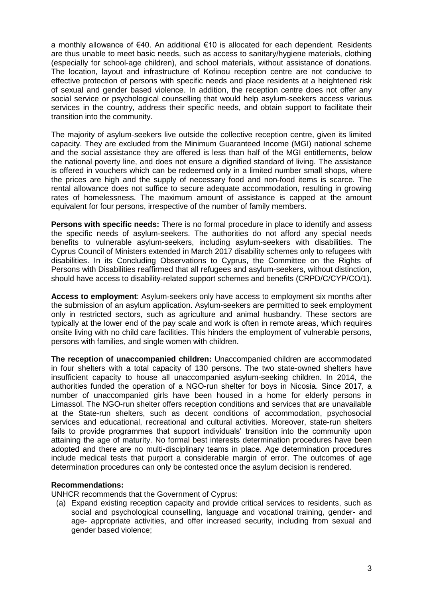a monthly allowance of €40. An additional €10 is allocated for each dependent. Residents are thus unable to meet basic needs, such as access to sanitary/hygiene materials, clothing (especially for school-age children), and school materials, without assistance of donations. The location, layout and infrastructure of Kofinou reception centre are not conducive to effective protection of persons with specific needs and place residents at a heightened risk of sexual and gender based violence. In addition, the reception centre does not offer any social service or psychological counselling that would help asylum-seekers access various services in the country, address their specific needs, and obtain support to facilitate their transition into the community.

The majority of asylum-seekers live outside the collective reception centre, given its limited capacity. They are excluded from the Minimum Guaranteed Income (MGI) national scheme and the social assistance they are offered is less than half of the MGI entitlements, below the national poverty line, and does not ensure a dignified standard of living. The assistance is offered in vouchers which can be redeemed only in a limited number small shops, where the prices are high and the supply of necessary food and non-food items is scarce. The rental allowance does not suffice to secure adequate accommodation, resulting in growing rates of homelessness. The maximum amount of assistance is capped at the amount equivalent for four persons, irrespective of the number of family members.

**Persons with specific needs:** There is no formal procedure in place to identify and assess the specific needs of asylum-seekers. The authorities do not afford any special needs benefits to vulnerable asylum-seekers, including asylum-seekers with disabilities. The Cyprus Council of Ministers extended in March 2017 disability schemes only to refugees with disabilities. In its Concluding Observations to Cyprus, the Committee on the Rights of Persons with Disabilities reaffirmed that all refugees and asylum-seekers, without distinction, should have access to disability-related support schemes and benefits (CRPD/C/CYP/CO/1).

**Access to employment**: Asylum-seekers only have access to employment six months after the submission of an asylum application. Asylum-seekers are permitted to seek employment only in restricted sectors, such as agriculture and animal husbandry. These sectors are typically at the lower end of the pay scale and work is often in remote areas, which requires onsite living with no child care facilities. This hinders the employment of vulnerable persons, persons with families, and single women with children.

**The reception of unaccompanied children:** Unaccompanied children are accommodated in four shelters with a total capacity of 130 persons. The two state-owned shelters have insufficient capacity to house all unaccompanied asylum-seeking children. In 2014, the authorities funded the operation of a NGO-run shelter for boys in Nicosia. Since 2017, a number of unaccompanied girls have been housed in a home for elderly persons in Limassol. The NGO-run shelter offers reception conditions and services that are unavailable at the State-run shelters, such as decent conditions of accommodation, psychosocial services and educational, recreational and cultural activities. Moreover, state-run shelters fails to provide programmes that support individuals' transition into the community upon attaining the age of maturity. No formal best interests determination procedures have been adopted and there are no multi-disciplinary teams in place. Age determination procedures include medical tests that purport a considerable margin of error. The outcomes of age determination procedures can only be contested once the asylum decision is rendered.

## **Recommendations:**

UNHCR recommends that the Government of Cyprus:

(a) Expand existing reception capacity and provide critical services to residents, such as social and psychological counselling, language and vocational training, gender- and age- appropriate activities, and offer increased security, including from sexual and gender based violence;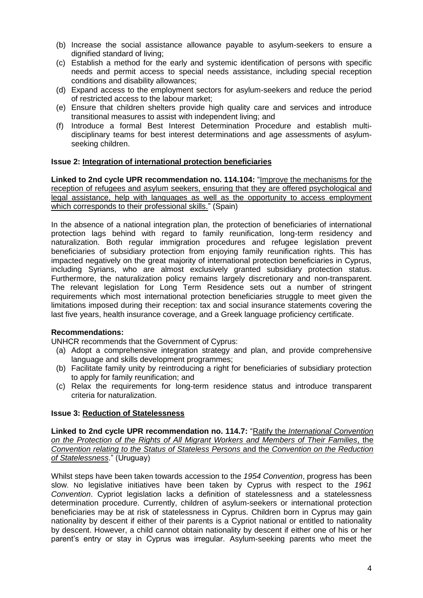- (b) Increase the social assistance allowance payable to asylum-seekers to ensure a dignified standard of living;
- (c) Establish a method for the early and systemic identification of persons with specific needs and permit access to special needs assistance, including special reception conditions and disability allowances;
- (d) Expand access to the employment sectors for asylum-seekers and reduce the period of restricted access to the labour market;
- (e) Ensure that children shelters provide high quality care and services and introduce transitional measures to assist with independent living; and
- (f) Introduce a formal Best Interest Determination Procedure and establish multidisciplinary teams for best interest determinations and age assessments of asylumseeking children.

## **Issue 2: Integration of international protection beneficiaries**

**Linked to 2nd cycle UPR recommendation no. 114.104:** "Improve the mechanisms for the reception of refugees and asylum seekers, ensuring that they are offered psychological and legal assistance, help with languages as well as the opportunity to access employment which corresponds to their professional skills." (Spain)

In the absence of a national integration plan, the protection of beneficiaries of international protection lags behind with regard to family reunification, long-term residency and naturalization. Both regular immigration procedures and refugee legislation prevent beneficiaries of subsidiary protection from enjoying family reunification rights. This has impacted negatively on the great majority of international protection beneficiaries in Cyprus, including Syrians, who are almost exclusively granted subsidiary protection status. Furthermore, the naturalization policy remains largely discretionary and non-transparent. The relevant legislation for Long Term Residence sets out a number of stringent requirements which most international protection beneficiaries struggle to meet given the limitations imposed during their reception: tax and social insurance statements covering the last five years, health insurance coverage, and a Greek language proficiency certificate.

## **Recommendations:**

UNHCR recommends that the Government of Cyprus:

- (a) Adopt a comprehensive integration strategy and plan, and provide comprehensive language and skills development programmes;
- (b) Facilitate family unity by reintroducing a right for beneficiaries of subsidiary protection to apply for family reunification; and
- (c) Relax the requirements for long-term residence status and introduce transparent criteria for naturalization.

# **Issue 3: Reduction of Statelessness**

**Linked to 2nd cycle UPR recommendation no. 114.7:** "Ratify the *International Convention on the Protection of the Rights of All Migrant Workers and Members of Their Families*, the *Convention relating to the Status of Stateless Persons* and the *Convention on the Reduction of Statelessness*." (Uruguay)

Whilst steps have been taken towards accession to the *1954 Convention*, progress has been slow. No legislative initiatives have been taken by Cyprus with respect to the *1961 Convention*. Cypriot legislation lacks a definition of statelessness and a statelessness determination procedure. Currently, children of asylum-seekers or international protection beneficiaries may be at risk of statelessness in Cyprus. Children born in Cyprus may gain nationality by descent if either of their parents is a Cypriot national or entitled to nationality by descent. However, a child cannot obtain nationality by descent if either one of his or her parent's entry or stay in Cyprus was irregular. Asylum-seeking parents who meet the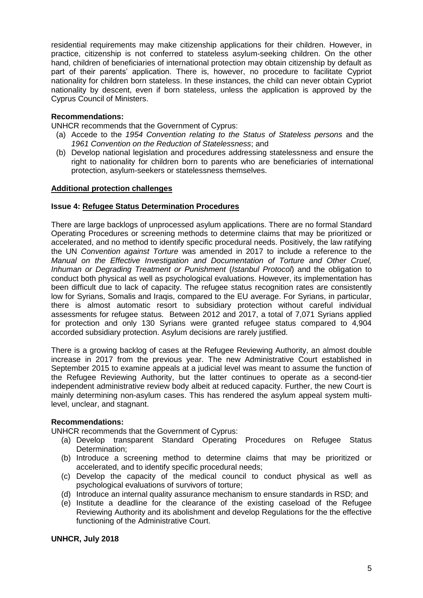residential requirements may make citizenship applications for their children. However, in practice, citizenship is not conferred to stateless asylum-seeking children. On the other hand, children of beneficiaries of international protection may obtain citizenship by default as part of their parents' application. There is, however, no procedure to facilitate Cypriot nationality for children born stateless. In these instances, the child can never obtain Cypriot nationality by descent, even if born stateless, unless the application is approved by the Cyprus Council of Ministers.

## **Recommendations:**

UNHCR recommends that the Government of Cyprus:

- (a) Accede to the *1954 Convention relating to the Status of Stateless persons* and the *1961 Convention on the Reduction of Statelessness*; and
- (b) Develop national legislation and procedures addressing statelessness and ensure the right to nationality for children born to parents who are beneficiaries of international protection, asylum-seekers or statelessness themselves.

## **Additional protection challenges**

## **Issue 4: Refugee Status Determination Procedures**

There are large backlogs of unprocessed asylum applications. There are no formal Standard Operating Procedures or screening methods to determine claims that may be prioritized or accelerated, and no method to identify specific procedural needs. Positively, the law ratifying the UN *Convention against Torture* was amended in 2017 to include a reference to the *Manual on the Effective Investigation and Documentation of Torture and Other Cruel, Inhuman or Degrading Treatment or Punishment* (*Istanbul Protocol*) and the obligation to conduct both physical as well as psychological evaluations. However, its implementation has been difficult due to lack of capacity. The refugee status recognition rates are consistently low for Syrians, Somalis and Iraqis, compared to the EU average. For Syrians, in particular, there is almost automatic resort to subsidiary protection without careful individual assessments for refugee status. Between 2012 and 2017, a total of 7,071 Syrians applied for protection and only 130 Syrians were granted refugee status compared to 4,904 accorded subsidiary protection. Asylum decisions are rarely justified.

There is a growing backlog of cases at the Refugee Reviewing Authority, an almost double increase in 2017 from the previous year. The new Administrative Court established in September 2015 to examine appeals at a judicial level was meant to assume the function of the Refugee Reviewing Authority, but the latter continues to operate as a second-tier independent administrative review body albeit at reduced capacity. Further, the new Court is mainly determining non-asylum cases. This has rendered the asylum appeal system multilevel, unclear, and stagnant.

## **Recommendations:**

UNHCR recommends that the Government of Cyprus:

- (a) Develop transparent Standard Operating Procedures on Refugee Status Determination;
- (b) Introduce a screening method to determine claims that may be prioritized or accelerated, and to identify specific procedural needs;
- (c) Develop the capacity of the medical council to conduct physical as well as psychological evaluations of survivors of torture;
- (d) Introduce an internal quality assurance mechanism to ensure standards in RSD; and
- (e) Institute a deadline for the clearance of the existing caseload of the Refugee Reviewing Authority and its abolishment and develop Regulations for the the effective functioning of the Administrative Court.

**UNHCR, July 2018**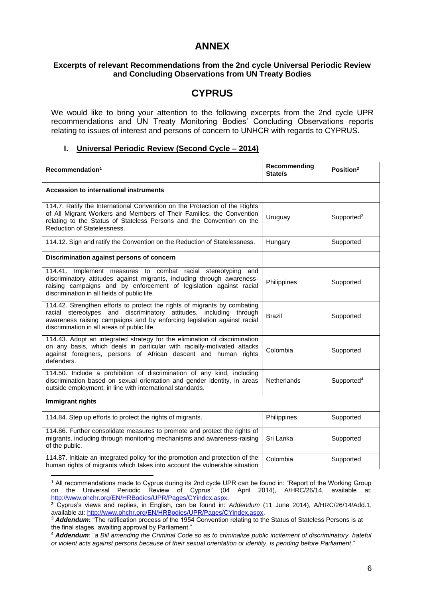# **ANNEX**

## **Excerpts of relevant Recommendations from the 2nd cycle Universal Periodic Review and Concluding Observations from UN Treaty Bodies**

# **CYPRUS**

We would like to bring your attention to the following excerpts from the 2nd cycle UPR recommendations and UN Treaty Monitoring Bodies' Concluding Observations reports relating to issues of interest and persons of concern to UNHCR with regards to CYPRUS.

#### **I. Universal Periodic Review (Second Cycle – 2014)**

| Recommendation <sup>1</sup>                                                                                                                                                                                                                                               | Recommending<br>State/s | Position <sup>2</sup>  |  |  |
|---------------------------------------------------------------------------------------------------------------------------------------------------------------------------------------------------------------------------------------------------------------------------|-------------------------|------------------------|--|--|
| <b>Accession to international instruments</b>                                                                                                                                                                                                                             |                         |                        |  |  |
| 114.7. Ratify the International Convention on the Protection of the Rights<br>of All Migrant Workers and Members of Their Families, the Convention<br>relating to the Status of Stateless Persons and the Convention on the<br><b>Reduction of Statelessness.</b>         | Uruguay                 | Supported <sup>3</sup> |  |  |
| 114.12. Sign and ratify the Convention on the Reduction of Statelessness.                                                                                                                                                                                                 | Hungary                 | Supported              |  |  |
| Discrimination against persons of concern                                                                                                                                                                                                                                 |                         |                        |  |  |
| 114.41. Implement measures to combat racial stereotyping and<br>discriminatory attitudes against migrants, including through awareness-<br>raising campaigns and by enforcement of legislation against racial<br>discrimination in all fields of public life.             | Philippines             | Supported              |  |  |
| 114.42. Strengthen efforts to protect the rights of migrants by combating<br>racial stereotypes and discriminatory attitudes, including through<br>awareness raising campaigns and by enforcing legislation against racial<br>discrimination in all areas of public life. | <b>Brazil</b>           | Supported              |  |  |
| 114.43. Adopt an integrated strategy for the elimination of discrimination<br>on any basis, which deals in particular with racially-motivated attacks<br>against foreigners, persons of African descent and human rights<br>defenders.                                    | Colombia                | Supported              |  |  |
| 114.50. Include a prohibition of discrimination of any kind, including<br>discrimination based on sexual orientation and gender identity, in areas<br>outside employment, in line with international standards.                                                           | Netherlands             | Supported <sup>4</sup> |  |  |
| Immigrant rights                                                                                                                                                                                                                                                          |                         |                        |  |  |
| 114.84. Step up efforts to protect the rights of migrants.                                                                                                                                                                                                                | Philippines             | Supported              |  |  |
| 114.86. Further consolidate measures to promote and protect the rights of<br>migrants, including through monitoring mechanisms and awareness-raising<br>of the public.                                                                                                    | Sri Lanka               | Supported              |  |  |
| 114.87. Initiate an integrated policy for the promotion and protection of the<br>human rights of migrants which takes into account the vulnerable situation                                                                                                               | Colombia                | Supported              |  |  |
|                                                                                                                                                                                                                                                                           |                         |                        |  |  |

<sup>1</sup> All recommendations made to Cyprus during its 2nd cycle UPR can be found in: "Report of the Working Group on the Universal Periodic Review of Cyprus" (04 April 2014), A/HRC/26/14, available at: [http://www.ohchr.org/EN/HRBodies/UPR/Pages/CYindex.aspx.](http://www.ohchr.org/EN/HRBodies/UPR/Pages/CYindex.aspx)

**<sup>2</sup>** Cyprus's views and replies, in English, can be found in: *Addendum* (11 June 2014), A/HRC/26/14/Add.1, available at: [http://www.ohchr.org/EN/HRBodies/UPR/Pages/CYindex.aspx.](http://www.ohchr.org/EN/HRBodies/UPR/Pages/CYindex.aspx)

<sup>3</sup> *Addendum***:** "The ratification process of the 1954 Convention relating to the Status of Stateless Persons is at the final stages, awaiting approval by Parliament."

<sup>4</sup> *Addendum*: "*a Bill amending the Criminal Code so as to criminalize public incitement of discriminatory, hateful or violent acts against persons because of their sexual orientation or identity, is pending before Parliament*."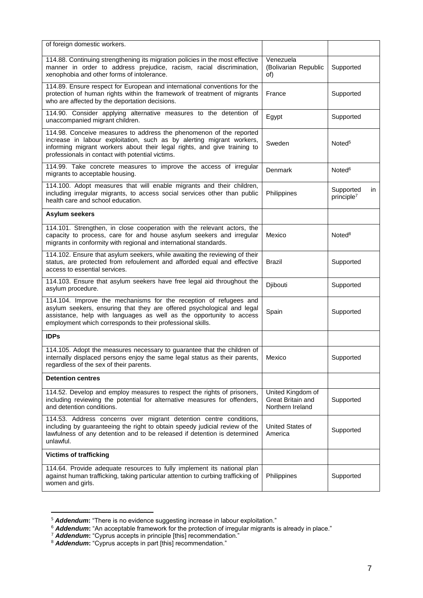| of foreign domestic workers.                                                                                                                                                                                                                                                      |                                                            |                                            |
|-----------------------------------------------------------------------------------------------------------------------------------------------------------------------------------------------------------------------------------------------------------------------------------|------------------------------------------------------------|--------------------------------------------|
| 114.88. Continuing strengthening its migration policies in the most effective<br>manner in order to address prejudice, racism, racial discrimination,<br>xenophobia and other forms of intolerance.                                                                               | Venezuela<br>(Bolivarian Republic<br>of)                   | Supported                                  |
| 114.89. Ensure respect for European and international conventions for the<br>protection of human rights within the framework of treatment of migrants<br>who are affected by the deportation decisions.                                                                           | France                                                     | Supported                                  |
| 114.90. Consider applying alternative measures to the detention of<br>unaccompanied migrant children.                                                                                                                                                                             | Egypt                                                      | Supported                                  |
| 114.98. Conceive measures to address the phenomenon of the reported<br>increase in labour exploitation, such as by alerting migrant workers,<br>informing migrant workers about their legal rights, and give training to<br>professionals in contact with potential victims.      | Sweden                                                     | Noted <sup>5</sup>                         |
| 114.99. Take concrete measures to improve the access of irregular<br>migrants to acceptable housing.                                                                                                                                                                              | Denmark                                                    | Noted <sup>6</sup>                         |
| 114.100. Adopt measures that will enable migrants and their children,<br>including irregular migrants, to access social services other than public<br>health care and school education.                                                                                           | Philippines                                                | Supported<br>in.<br>principle <sup>7</sup> |
| Asylum seekers                                                                                                                                                                                                                                                                    |                                                            |                                            |
| 114.101. Strengthen, in close cooperation with the relevant actors, the<br>capacity to process, care for and house asylum seekers and irregular<br>migrants in conformity with regional and international standards.                                                              | Mexico                                                     | Noted <sup>8</sup>                         |
| 114.102. Ensure that asylum seekers, while awaiting the reviewing of their<br>status, are protected from refoulement and afforded equal and effective<br>access to essential services.                                                                                            | <b>Brazil</b>                                              | Supported                                  |
| 114.103. Ensure that asylum seekers have free legal aid throughout the<br>asylum procedure.                                                                                                                                                                                       | Djibouti                                                   | Supported                                  |
| 114.104. Improve the mechanisms for the reception of refugees and<br>asylum seekers, ensuring that they are offered psychological and legal<br>assistance, help with languages as well as the opportunity to access<br>employment which corresponds to their professional skills. | Spain                                                      | Supported                                  |
| <b>IDPs</b>                                                                                                                                                                                                                                                                       |                                                            |                                            |
| 114.105. Adopt the measures necessary to guarantee that the children of<br>internally displaced persons enjoy the same legal status as their parents,<br>regardless of the sex of their parents.                                                                                  | Mexico                                                     | Supported                                  |
| <b>Detention centres</b>                                                                                                                                                                                                                                                          |                                                            |                                            |
| 114.52. Develop and employ measures to respect the rights of prisoners,<br>including reviewing the potential for alternative measures for offenders,<br>and detention conditions.                                                                                                 | United Kingdom of<br>Great Britain and<br>Northern Ireland | Supported                                  |
| 114.53. Address concerns over migrant detention centre conditions,<br>including by guaranteeing the right to obtain speedy judicial review of the<br>lawfulness of any detention and to be released if detention is determined<br>unlawful.                                       | United States of<br>America                                | Supported                                  |
| <b>Victims of trafficking</b>                                                                                                                                                                                                                                                     |                                                            |                                            |
| 114.64. Provide adequate resources to fully implement its national plan<br>against human trafficking, taking particular attention to curbing trafficking of<br>women and girls.                                                                                                   | Philippines                                                | Supported                                  |

<sup>&</sup>lt;sup>5</sup> Addendum: "There is no evidence suggesting increase in labour exploitation."

1

<sup>6</sup> *Addendum***:** "An acceptable framework for the protection of irregular migrants is already in place."

<sup>7</sup> *Addendum***:** "Cyprus accepts in principle [this] recommendation."

<sup>&</sup>lt;sup>8</sup> Addendum: "Cyprus accepts in part [this] recommendation."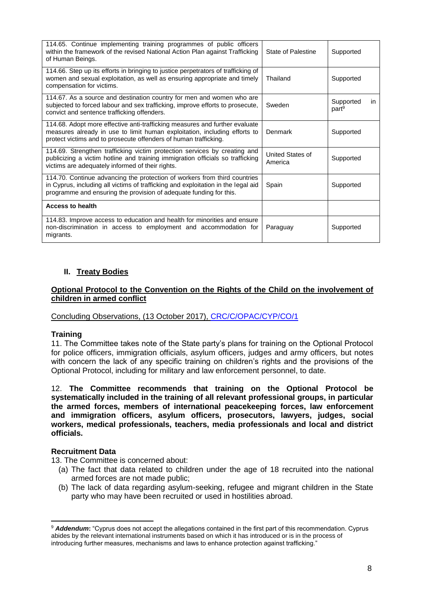| 114.65. Continue implementing training programmes of public officers<br>within the framework of the revised National Action Plan against Trafficking<br>of Human Beings.                                                             | <b>State of Palestine</b>   | Supported                             |
|--------------------------------------------------------------------------------------------------------------------------------------------------------------------------------------------------------------------------------------|-----------------------------|---------------------------------------|
| 114.66. Step up its efforts in bringing to justice perpetrators of trafficking of<br>women and sexual exploitation, as well as ensuring appropriate and timely<br>compensation for victims.                                          | Thailand                    | Supported                             |
| 114.67. As a source and destination country for men and women who are<br>subjected to forced labour and sex trafficking, improve efforts to prosecute,<br>convict and sentence trafficking offenders.                                | Sweden                      | Supported<br>in.<br>part <sup>9</sup> |
| 114.68. Adopt more effective anti-trafficking measures and further evaluate<br>measures already in use to limit human exploitation, including efforts to<br>protect victims and to prosecute offenders of human trafficking.         | Denmark                     | Supported                             |
| 114.69. Strengthen trafficking victim protection services by creating and<br>publicizing a victim hotline and training immigration officials so trafficking<br>victims are adequately informed of their rights.                      | United States of<br>America | Supported                             |
| 114.70. Continue advancing the protection of workers from third countries<br>in Cyprus, including all victims of trafficking and exploitation in the legal aid<br>programme and ensuring the provision of adequate funding for this. | Spain                       | Supported                             |
| <b>Access to health</b>                                                                                                                                                                                                              |                             |                                       |
| 114.83. Improve access to education and health for minorities and ensure<br>non-discrimination in access to employment and accommodation for<br>migrants.                                                                            | Paraguay                    | Supported                             |

# **II. Treaty Bodies**

## **Optional Protocol to the Convention on the Rights of the Child on the involvement of children in armed conflict**

## Concluding Observations, (13 October 2017), [CRC/C/OPAC/CYP/CO/1](http://tbinternet.ohchr.org/_layouts/treatybodyexternal/Download.aspx?symbolno=CRC/C/OPAC/CYP/CO/1&Lang=En)

## **Training**

11. The Committee takes note of the State party's plans for training on the Optional Protocol for police officers, immigration officials, asylum officers, judges and army officers, but notes with concern the lack of any specific training on children's rights and the provisions of the Optional Protocol, including for military and law enforcement personnel, to date.

12. **The Committee recommends that training on the Optional Protocol be systematically included in the training of all relevant professional groups, in particular the armed forces, members of international peacekeeping forces, law enforcement and immigration officers, asylum officers, prosecutors, lawyers, judges, social workers, medical professionals, teachers, media professionals and local and district officials.**

## **Recruitment Data**

**.** 

13. The Committee is concerned about:

- (a) The fact that data related to children under the age of 18 recruited into the national armed forces are not made public;
- (b) The lack of data regarding asylum-seeking, refugee and migrant children in the State party who may have been recruited or used in hostilities abroad.

<sup>&</sup>lt;sup>9</sup> **Addendum:** "Cyprus does not accept the allegations contained in the first part of this recommendation. Cyprus abides by the relevant international instruments based on which it has introduced or is in the process of introducing further measures, mechanisms and laws to enhance protection against trafficking."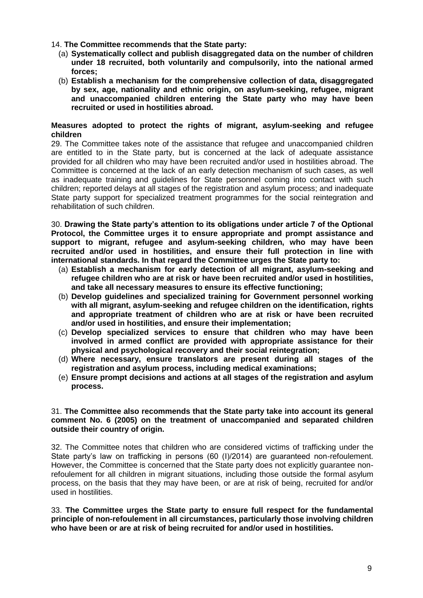### 14. **The Committee recommends that the State party:**

- (a) **Systematically collect and publish disaggregated data on the number of children under 18 recruited, both voluntarily and compulsorily, into the national armed forces;**
- (b) **Establish a mechanism for the comprehensive collection of data, disaggregated by sex, age, nationality and ethnic origin, on asylum-seeking, refugee, migrant and unaccompanied children entering the State party who may have been recruited or used in hostilities abroad.**

#### **Measures adopted to protect the rights of migrant, asylum-seeking and refugee children**

29. The Committee takes note of the assistance that refugee and unaccompanied children are entitled to in the State party, but is concerned at the lack of adequate assistance provided for all children who may have been recruited and/or used in hostilities abroad. The Committee is concerned at the lack of an early detection mechanism of such cases, as well as inadequate training and guidelines for State personnel coming into contact with such children; reported delays at all stages of the registration and asylum process; and inadequate State party support for specialized treatment programmes for the social reintegration and rehabilitation of such children.

30. **Drawing the State party's attention to its obligations under article 7 of the Optional Protocol, the Committee urges it to ensure appropriate and prompt assistance and support to migrant, refugee and asylum-seeking children, who may have been recruited and/or used in hostilities, and ensure their full protection in line with international standards. In that regard the Committee urges the State party to:** 

- (a) **Establish a mechanism for early detection of all migrant, asylum-seeking and refugee children who are at risk or have been recruited and/or used in hostilities, and take all necessary measures to ensure its effective functioning;**
- (b) **Develop guidelines and specialized training for Government personnel working with all migrant, asylum-seeking and refugee children on the identification, rights and appropriate treatment of children who are at risk or have been recruited and/or used in hostilities, and ensure their implementation;**
- (c) **Develop specialized services to ensure that children who may have been involved in armed conflict are provided with appropriate assistance for their physical and psychological recovery and their social reintegration;**
- (d) **Where necessary, ensure translators are present during all stages of the registration and asylum process, including medical examinations;**
- (e) **Ensure prompt decisions and actions at all stages of the registration and asylum process.**

#### 31. **The Committee also recommends that the State party take into account its general comment No. 6 (2005) on the treatment of unaccompanied and separated children outside their country of origin.**

32. The Committee notes that children who are considered victims of trafficking under the State party's law on trafficking in persons (60 (I)/2014) are guaranteed non-refoulement. However, the Committee is concerned that the State party does not explicitly guarantee nonrefoulement for all children in migrant situations, including those outside the formal asylum process, on the basis that they may have been, or are at risk of being, recruited for and/or used in hostilities.

33. **The Committee urges the State party to ensure full respect for the fundamental principle of non-refoulement in all circumstances, particularly those involving children who have been or are at risk of being recruited for and/or used in hostilities.**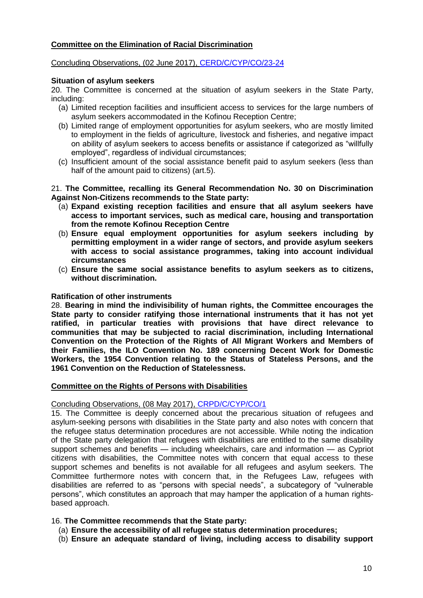## **Committee on the Elimination of Racial Discrimination**

### Concluding Observations, (02 June 2017), [CERD/C/CYP/CO/23-24](http://tbinternet.ohchr.org/_layouts/treatybodyexternal/Download.aspx?symbolno=CERD/C/CYP/CO/23-24&Lang=En)

#### **Situation of asylum seekers**

20. The Committee is concerned at the situation of asylum seekers in the State Party, including:

- (a) Limited reception facilities and insufficient access to services for the large numbers of asylum seekers accommodated in the Kofinou Reception Centre;
- (b) Limited range of employment opportunities for asylum seekers, who are mostly limited to employment in the fields of agriculture, livestock and fisheries, and negative impact on ability of asylum seekers to access benefits or assistance if categorized as "willfully employed", regardless of individual circumstances;
- (c) Insufficient amount of the social assistance benefit paid to asylum seekers (less than half of the amount paid to citizens) (art.5).

21. **The Committee, recalling its General Recommendation No. 30 on Discrimination Against Non-Citizens recommends to the State party:** 

- (a) **Expand existing reception facilities and ensure that all asylum seekers have access to important services, such as medical care, housing and transportation from the remote Kofinou Reception Centre**
- (b) **Ensure equal employment opportunities for asylum seekers including by permitting employment in a wider range of sectors, and provide asylum seekers with access to social assistance programmes, taking into account individual circumstances**
- (c) **Ensure the same social assistance benefits to asylum seekers as to citizens, without discrimination.**

#### **Ratification of other instruments**

28. **Bearing in mind the indivisibility of human rights, the Committee encourages the State party to consider ratifying those international instruments that it has not yet ratified, in particular treaties with provisions that have direct relevance to communities that may be subjected to racial discrimination, including International Convention on the Protection of the Rights of All Migrant Workers and Members of their Families, the ILO Convention No. 189 concerning Decent Work for Domestic Workers, the 1954 Convention relating to the Status of Stateless Persons, and the 1961 Convention on the Reduction of Statelessness.**

## **Committee on the Rights of Persons with Disabilities**

Concluding Observations, (08 May 2017), [CRPD/C/CYP/CO/1](http://tbinternet.ohchr.org/_layouts/treatybodyexternal/Download.aspx?symbolno=CRPD/C/CYP/CO/1&Lang=En)

15. The Committee is deeply concerned about the precarious situation of refugees and asylum-seeking persons with disabilities in the State party and also notes with concern that the refugee status determination procedures are not accessible. While noting the indication of the State party delegation that refugees with disabilities are entitled to the same disability support schemes and benefits — including wheelchairs, care and information — as Cypriot citizens with disabilities, the Committee notes with concern that equal access to these support schemes and benefits is not available for all refugees and asylum seekers. The Committee furthermore notes with concern that, in the Refugees Law, refugees with disabilities are referred to as "persons with special needs", a subcategory of "vulnerable persons", which constitutes an approach that may hamper the application of a human rightsbased approach.

## 16. **The Committee recommends that the State party:**

- (a) **Ensure the accessibility of all refugee status determination procedures;**
- (b) **Ensure an adequate standard of living, including access to disability support**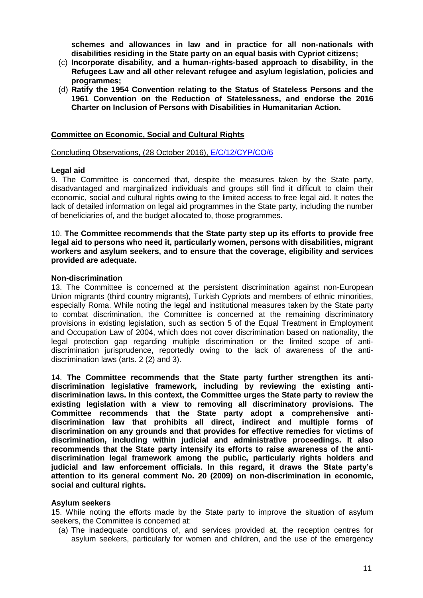**schemes and allowances in law and in practice for all non-nationals with disabilities residing in the State party on an equal basis with Cypriot citizens;**

- (c) **Incorporate disability, and a human-rights-based approach to disability, in the Refugees Law and all other relevant refugee and asylum legislation, policies and programmes;**
- (d) **Ratify the 1954 Convention relating to the Status of Stateless Persons and the 1961 Convention on the Reduction of Statelessness, and endorse the 2016 Charter on Inclusion of Persons with Disabilities in Humanitarian Action.**

#### **Committee on Economic, Social and Cultural Rights**

Concluding Observations, (28 October 2016), [E/C/12/CYP/CO/6](http://tbinternet.ohchr.org/_layouts/treatybodyexternal/Download.aspx?symbolno=E/C.12/CYP/CO/6&Lang=En)

#### **Legal aid**

9. The Committee is concerned that, despite the measures taken by the State party, disadvantaged and marginalized individuals and groups still find it difficult to claim their economic, social and cultural rights owing to the limited access to free legal aid. It notes the lack of detailed information on legal aid programmes in the State party, including the number of beneficiaries of, and the budget allocated to, those programmes.

#### 10. **The Committee recommends that the State party step up its efforts to provide free legal aid to persons who need it, particularly women, persons with disabilities, migrant workers and asylum seekers, and to ensure that the coverage, eligibility and services provided are adequate.**

#### **Non-discrimination**

13. The Committee is concerned at the persistent discrimination against non-European Union migrants (third country migrants), Turkish Cypriots and members of ethnic minorities, especially Roma. While noting the legal and institutional measures taken by the State party to combat discrimination, the Committee is concerned at the remaining discriminatory provisions in existing legislation, such as section 5 of the Equal Treatment in Employment and Occupation Law of 2004, which does not cover discrimination based on nationality, the legal protection gap regarding multiple discrimination or the limited scope of antidiscrimination jurisprudence, reportedly owing to the lack of awareness of the antidiscrimination laws (arts. 2 (2) and 3).

14. **The Committee recommends that the State party further strengthen its antidiscrimination legislative framework, including by reviewing the existing antidiscrimination laws. In this context, the Committee urges the State party to review the existing legislation with a view to removing all discriminatory provisions. The Committee recommends that the State party adopt a comprehensive antidiscrimination law that prohibits all direct, indirect and multiple forms of discrimination on any grounds and that provides for effective remedies for victims of discrimination, including within judicial and administrative proceedings. It also recommends that the State party intensify its efforts to raise awareness of the antidiscrimination legal framework among the public, particularly rights holders and judicial and law enforcement officials. In this regard, it draws the State party's attention to its general comment No. 20 (2009) on non-discrimination in economic, social and cultural rights.**

#### **Asylum seekers**

15. While noting the efforts made by the State party to improve the situation of asylum seekers, the Committee is concerned at:

(a) The inadequate conditions of, and services provided at, the reception centres for asylum seekers, particularly for women and children, and the use of the emergency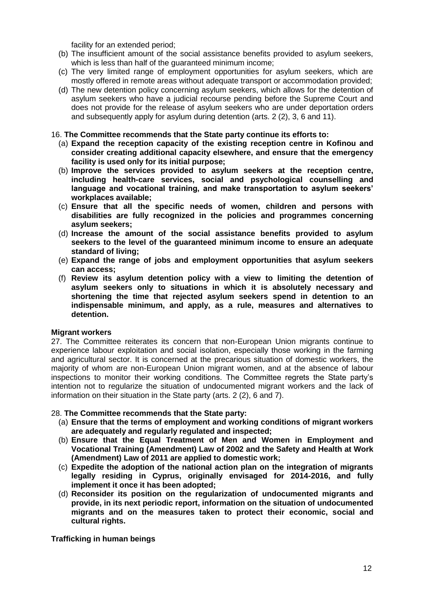facility for an extended period;

- (b) The insufficient amount of the social assistance benefits provided to asylum seekers, which is less than half of the guaranteed minimum income;
- (c) The very limited range of employment opportunities for asylum seekers, which are mostly offered in remote areas without adequate transport or accommodation provided;
- (d) The new detention policy concerning asylum seekers, which allows for the detention of asylum seekers who have a judicial recourse pending before the Supreme Court and does not provide for the release of asylum seekers who are under deportation orders and subsequently apply for asylum during detention (arts. 2 (2), 3, 6 and 11).

#### 16. **The Committee recommends that the State party continue its efforts to:**

- (a) **Expand the reception capacity of the existing reception centre in Kofinou and consider creating additional capacity elsewhere, and ensure that the emergency facility is used only for its initial purpose;**
- (b) **Improve the services provided to asylum seekers at the reception centre, including health-care services, social and psychological counselling and language and vocational training, and make transportation to asylum seekers' workplaces available;**
- (c) **Ensure that all the specific needs of women, children and persons with disabilities are fully recognized in the policies and programmes concerning asylum seekers;**
- (d) **Increase the amount of the social assistance benefits provided to asylum seekers to the level of the guaranteed minimum income to ensure an adequate standard of living;**
- (e) **Expand the range of jobs and employment opportunities that asylum seekers can access;**
- (f) **Review its asylum detention policy with a view to limiting the detention of asylum seekers only to situations in which it is absolutely necessary and shortening the time that rejected asylum seekers spend in detention to an indispensable minimum, and apply, as a rule, measures and alternatives to detention.**

## **Migrant workers**

27. The Committee reiterates its concern that non-European Union migrants continue to experience labour exploitation and social isolation, especially those working in the farming and agricultural sector. It is concerned at the precarious situation of domestic workers, the majority of whom are non-European Union migrant women, and at the absence of labour inspections to monitor their working conditions. The Committee regrets the State party's intention not to regularize the situation of undocumented migrant workers and the lack of information on their situation in the State party (arts. 2 (2), 6 and 7).

## 28. **The Committee recommends that the State party:**

- (a) **Ensure that the terms of employment and working conditions of migrant workers are adequately and regularly regulated and inspected;**
- (b) **Ensure that the Equal Treatment of Men and Women in Employment and Vocational Training (Amendment) Law of 2002 and the Safety and Health at Work (Amendment) Law of 2011 are applied to domestic work;**
- (c) **Expedite the adoption of the national action plan on the integration of migrants legally residing in Cyprus, originally envisaged for 2014-2016, and fully implement it once it has been adopted;**
- (d) **Reconsider its position on the regularization of undocumented migrants and provide, in its next periodic report, information on the situation of undocumented migrants and on the measures taken to protect their economic, social and cultural rights.**

**Trafficking in human beings**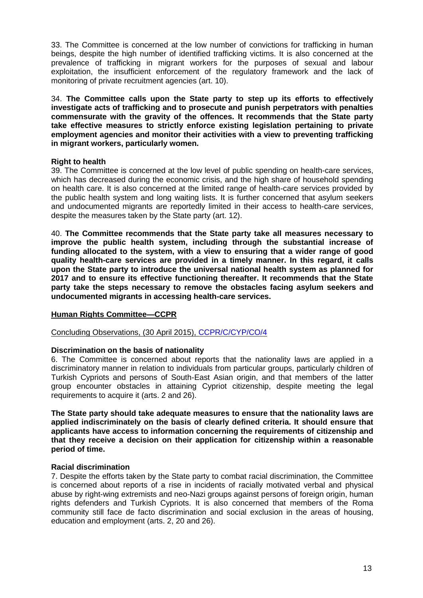33. The Committee is concerned at the low number of convictions for trafficking in human beings, despite the high number of identified trafficking victims. It is also concerned at the prevalence of trafficking in migrant workers for the purposes of sexual and labour exploitation, the insufficient enforcement of the regulatory framework and the lack of monitoring of private recruitment agencies (art. 10).

34. **The Committee calls upon the State party to step up its efforts to effectively investigate acts of trafficking and to prosecute and punish perpetrators with penalties commensurate with the gravity of the offences. It recommends that the State party take effective measures to strictly enforce existing legislation pertaining to private employment agencies and monitor their activities with a view to preventing trafficking in migrant workers, particularly women.**

## **Right to health**

39. The Committee is concerned at the low level of public spending on health-care services, which has decreased during the economic crisis, and the high share of household spending on health care. It is also concerned at the limited range of health-care services provided by the public health system and long waiting lists. It is further concerned that asylum seekers and undocumented migrants are reportedly limited in their access to health-care services, despite the measures taken by the State party (art. 12).

40. **The Committee recommends that the State party take all measures necessary to improve the public health system, including through the substantial increase of funding allocated to the system, with a view to ensuring that a wider range of good quality health-care services are provided in a timely manner. In this regard, it calls upon the State party to introduce the universal national health system as planned for 2017 and to ensure its effective functioning thereafter. It recommends that the State party take the steps necessary to remove the obstacles facing asylum seekers and undocumented migrants in accessing health-care services.**

# **Human Rights Committee—CCPR**

Concluding Observations, (30 April 2015), [CCPR/C/CYP/CO/4](http://tbinternet.ohchr.org/_layouts/treatybodyexternal/Download.aspx?symbolno=CCPR/C/CYP/CO/4&Lang=En)

## **Discrimination on the basis of nationality**

6. The Committee is concerned about reports that the nationality laws are applied in a discriminatory manner in relation to individuals from particular groups, particularly children of Turkish Cypriots and persons of South-East Asian origin, and that members of the latter group encounter obstacles in attaining Cypriot citizenship, despite meeting the legal requirements to acquire it (arts. 2 and 26).

**The State party should take adequate measures to ensure that the nationality laws are applied indiscriminately on the basis of clearly defined criteria. It should ensure that applicants have access to information concerning the requirements of citizenship and that they receive a decision on their application for citizenship within a reasonable period of time.**

## **Racial discrimination**

7. Despite the efforts taken by the State party to combat racial discrimination, the Committee is concerned about reports of a rise in incidents of racially motivated verbal and physical abuse by right-wing extremists and neo-Nazi groups against persons of foreign origin, human rights defenders and Turkish Cypriots. It is also concerned that members of the Roma community still face de facto discrimination and social exclusion in the areas of housing, education and employment (arts. 2, 20 and 26).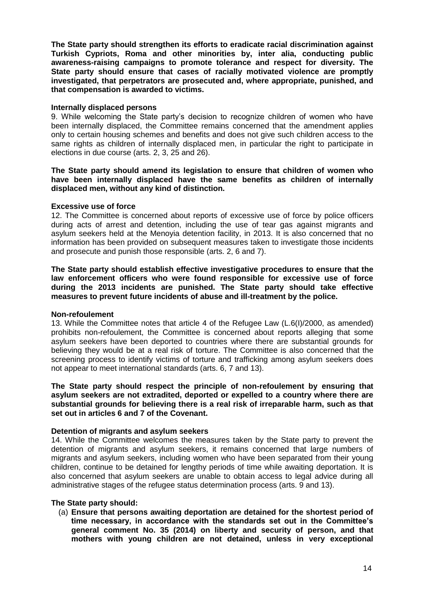**The State party should strengthen its efforts to eradicate racial discrimination against Turkish Cypriots, Roma and other minorities by, inter alia, conducting public awareness-raising campaigns to promote tolerance and respect for diversity. The State party should ensure that cases of racially motivated violence are promptly investigated, that perpetrators are prosecuted and, where appropriate, punished, and that compensation is awarded to victims.**

## **Internally displaced persons**

9. While welcoming the State party's decision to recognize children of women who have been internally displaced, the Committee remains concerned that the amendment applies only to certain housing schemes and benefits and does not give such children access to the same rights as children of internally displaced men, in particular the right to participate in elections in due course (arts. 2, 3, 25 and 26).

#### **The State party should amend its legislation to ensure that children of women who have been internally displaced have the same benefits as children of internally displaced men, without any kind of distinction.**

#### **Excessive use of force**

12. The Committee is concerned about reports of excessive use of force by police officers during acts of arrest and detention, including the use of tear gas against migrants and asylum seekers held at the Menoyia detention facility, in 2013. It is also concerned that no information has been provided on subsequent measures taken to investigate those incidents and prosecute and punish those responsible (arts. 2, 6 and 7).

**The State party should establish effective investigative procedures to ensure that the law enforcement officers who were found responsible for excessive use of force during the 2013 incidents are punished. The State party should take effective measures to prevent future incidents of abuse and ill-treatment by the police.** 

#### **Non-refoulement**

13. While the Committee notes that article 4 of the Refugee Law (L.6(I)/2000, as amended) prohibits non-refoulement, the Committee is concerned about reports alleging that some asylum seekers have been deported to countries where there are substantial grounds for believing they would be at a real risk of torture. The Committee is also concerned that the screening process to identify victims of torture and trafficking among asylum seekers does not appear to meet international standards (arts. 6, 7 and 13).

**The State party should respect the principle of non-refoulement by ensuring that asylum seekers are not extradited, deported or expelled to a country where there are substantial grounds for believing there is a real risk of irreparable harm, such as that set out in articles 6 and 7 of the Covenant.** 

## **Detention of migrants and asylum seekers**

14. While the Committee welcomes the measures taken by the State party to prevent the detention of migrants and asylum seekers, it remains concerned that large numbers of migrants and asylum seekers, including women who have been separated from their young children, continue to be detained for lengthy periods of time while awaiting deportation. It is also concerned that asylum seekers are unable to obtain access to legal advice during all administrative stages of the refugee status determination process (arts. 9 and 13).

## **The State party should:**

(a) **Ensure that persons awaiting deportation are detained for the shortest period of time necessary, in accordance with the standards set out in the Committee's general comment No. 35 (2014) on liberty and security of person, and that mothers with young children are not detained, unless in very exceptional**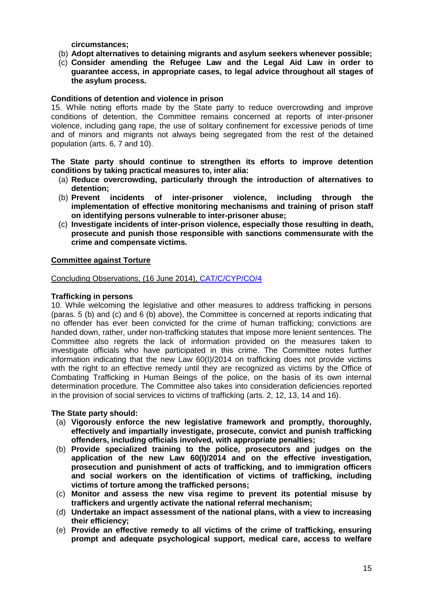**circumstances;** 

- (b) **Adopt alternatives to detaining migrants and asylum seekers whenever possible;**
- (c) **Consider amending the Refugee Law and the Legal Aid Law in order to guarantee access, in appropriate cases, to legal advice throughout all stages of the asylum process.**

## **Conditions of detention and violence in prison**

15. While noting efforts made by the State party to reduce overcrowding and improve conditions of detention, the Committee remains concerned at reports of inter-prisoner violence, including gang rape, the use of solitary confinement for excessive periods of time and of minors and migrants not always being segregated from the rest of the detained population (arts. 6, 7 and 10).

#### **The State party should continue to strengthen its efforts to improve detention conditions by taking practical measures to, inter alia:**

- (a) **Reduce overcrowding, particularly through the introduction of alternatives to detention;**
- (b) **Prevent incidents of inter-prisoner violence, including through the implementation of effective monitoring mechanisms and training of prison staff on identifying persons vulnerable to inter-prisoner abuse;**
- (c) **Investigate incidents of inter-prison violence, especially those resulting in death, prosecute and punish those responsible with sanctions commensurate with the crime and compensate victims.**

## **Committee against Torture**

#### Concluding Observations, (16 June 2014), [CAT/C/CYP/CO/4](http://tbinternet.ohchr.org/_layouts/treatybodyexternal/Download.aspx?symbolno=CAT/C/CYP/CO/4&Lang=En)

#### **Trafficking in persons**

10. While welcoming the legislative and other measures to address trafficking in persons (paras. 5 (b) and (c) and 6 (b) above), the Committee is concerned at reports indicating that no offender has ever been convicted for the crime of human trafficking; convictions are handed down, rather, under non-trafficking statutes that impose more lenient sentences. The Committee also regrets the lack of information provided on the measures taken to investigate officials who have participated in this crime. The Committee notes further information indicating that the new Law 60(I)/2014 on trafficking does not provide victims with the right to an effective remedy until they are recognized as victims by the Office of Combating Trafficking in Human Beings of the police, on the basis of its own internal determination procedure. The Committee also takes into consideration deficiencies reported in the provision of social services to victims of trafficking (arts. 2, 12, 13, 14 and 16).

#### **The State party should:**

- (a) **Vigorously enforce the new legislative framework and promptly, thoroughly, effectively and impartially investigate, prosecute, convict and punish trafficking offenders, including officials involved, with appropriate penalties;**
- (b) **Provide specialized training to the police, prosecutors and judges on the application of the new Law 60(I)/2014 and on the effective investigation, prosecution and punishment of acts of trafficking, and to immigration officers and social workers on the identification of victims of trafficking, including victims of torture among the trafficked persons;**
- (c) **Monitor and assess the new visa regime to prevent its potential misuse by traffickers and urgently activate the national referral mechanism;**
- (d) **Undertake an impact assessment of the national plans, with a view to increasing their efficiency;**
- (e) **Provide an effective remedy to all victims of the crime of trafficking, ensuring prompt and adequate psychological support, medical care, access to welfare**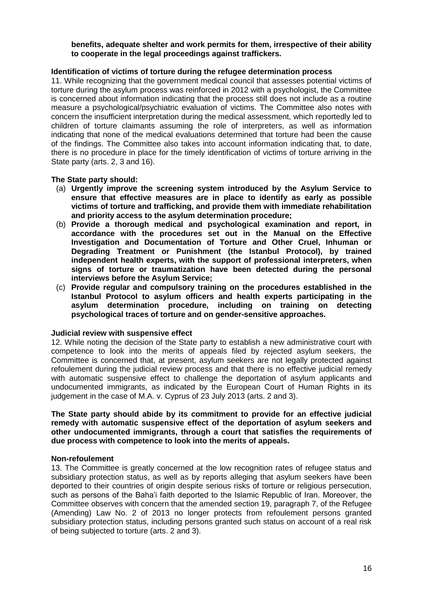#### **benefits, adequate shelter and work permits for them, irrespective of their ability to cooperate in the legal proceedings against traffickers.**

## **Identification of victims of torture during the refugee determination process**

11. While recognizing that the government medical council that assesses potential victims of torture during the asylum process was reinforced in 2012 with a psychologist, the Committee is concerned about information indicating that the process still does not include as a routine measure a psychological/psychiatric evaluation of victims. The Committee also notes with concern the insufficient interpretation during the medical assessment, which reportedly led to children of torture claimants assuming the role of interpreters, as well as information indicating that none of the medical evaluations determined that torture had been the cause of the findings. The Committee also takes into account information indicating that, to date, there is no procedure in place for the timely identification of victims of torture arriving in the State party (arts. 2, 3 and 16).

## **The State party should:**

- (a) **Urgently improve the screening system introduced by the Asylum Service to ensure that effective measures are in place to identify as early as possible victims of torture and trafficking, and provide them with immediate rehabilitation and priority access to the asylum determination procedure;**
- (b) **Provide a thorough medical and psychological examination and report, in accordance with the procedures set out in the Manual on the Effective Investigation and Documentation of Torture and Other Cruel, Inhuman or Degrading Treatment or Punishment (the Istanbul Protocol), by trained independent health experts, with the support of professional interpreters, when signs of torture or traumatization have been detected during the personal interviews before the Asylum Service;**
- (c) **Provide regular and compulsory training on the procedures established in the Istanbul Protocol to asylum officers and health experts participating in the asylum determination procedure, including on training on detecting psychological traces of torture and on gender-sensitive approaches.**

#### **Judicial review with suspensive effect**

12. While noting the decision of the State party to establish a new administrative court with competence to look into the merits of appeals filed by rejected asylum seekers, the Committee is concerned that, at present, asylum seekers are not legally protected against refoulement during the judicial review process and that there is no effective judicial remedy with automatic suspensive effect to challenge the deportation of asylum applicants and undocumented immigrants, as indicated by the European Court of Human Rights in its judgement in the case of M.A. v. Cyprus of 23 July 2013 (arts. 2 and 3).

#### **The State party should abide by its commitment to provide for an effective judicial remedy with automatic suspensive effect of the deportation of asylum seekers and other undocumented immigrants, through a court that satisfies the requirements of due process with competence to look into the merits of appeals.**

#### **Non-refoulement**

13. The Committee is greatly concerned at the low recognition rates of refugee status and subsidiary protection status, as well as by reports alleging that asylum seekers have been deported to their countries of origin despite serious risks of torture or religious persecution, such as persons of the Baha'i faith deported to the Islamic Republic of Iran. Moreover, the Committee observes with concern that the amended section 19, paragraph 7, of the Refugee (Amending) Law No. 2 of 2013 no longer protects from refoulement persons granted subsidiary protection status, including persons granted such status on account of a real risk of being subjected to torture (arts. 2 and 3).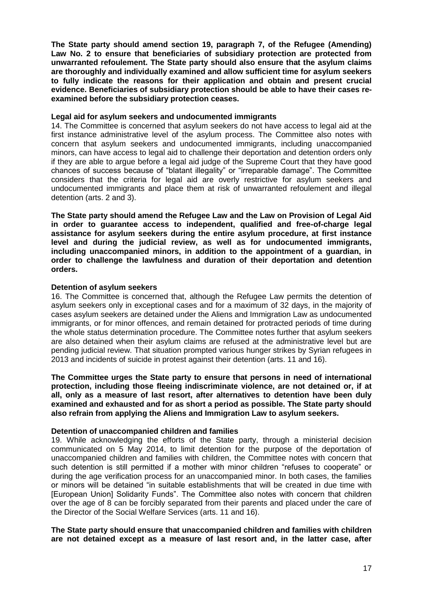**The State party should amend section 19, paragraph 7, of the Refugee (Amending) Law No. 2 to ensure that beneficiaries of subsidiary protection are protected from unwarranted refoulement. The State party should also ensure that the asylum claims are thoroughly and individually examined and allow sufficient time for asylum seekers to fully indicate the reasons for their application and obtain and present crucial evidence. Beneficiaries of subsidiary protection should be able to have their cases reexamined before the subsidiary protection ceases.** 

#### **Legal aid for asylum seekers and undocumented immigrants**

14. The Committee is concerned that asylum seekers do not have access to legal aid at the first instance administrative level of the asylum process. The Committee also notes with concern that asylum seekers and undocumented immigrants, including unaccompanied minors, can have access to legal aid to challenge their deportation and detention orders only if they are able to argue before a legal aid judge of the Supreme Court that they have good chances of success because of "blatant illegality" or "irreparable damage". The Committee considers that the criteria for legal aid are overly restrictive for asylum seekers and undocumented immigrants and place them at risk of unwarranted refoulement and illegal detention (arts. 2 and 3).

**The State party should amend the Refugee Law and the Law on Provision of Legal Aid in order to guarantee access to independent, qualified and free-of-charge legal assistance for asylum seekers during the entire asylum procedure, at first instance level and during the judicial review, as well as for undocumented immigrants, including unaccompanied minors, in addition to the appointment of a guardian, in order to challenge the lawfulness and duration of their deportation and detention orders.**

## **Detention of asylum seekers**

16. The Committee is concerned that, although the Refugee Law permits the detention of asylum seekers only in exceptional cases and for a maximum of 32 days, in the majority of cases asylum seekers are detained under the Aliens and Immigration Law as undocumented immigrants, or for minor offences, and remain detained for protracted periods of time during the whole status determination procedure. The Committee notes further that asylum seekers are also detained when their asylum claims are refused at the administrative level but are pending judicial review. That situation prompted various hunger strikes by Syrian refugees in 2013 and incidents of suicide in protest against their detention (arts. 11 and 16).

**The Committee urges the State party to ensure that persons in need of international protection, including those fleeing indiscriminate violence, are not detained or, if at all, only as a measure of last resort, after alternatives to detention have been duly examined and exhausted and for as short a period as possible. The State party should also refrain from applying the Aliens and Immigration Law to asylum seekers.** 

## **Detention of unaccompanied children and families**

19. While acknowledging the efforts of the State party, through a ministerial decision communicated on 5 May 2014, to limit detention for the purpose of the deportation of unaccompanied children and families with children, the Committee notes with concern that such detention is still permitted if a mother with minor children "refuses to cooperate" or during the age verification process for an unaccompanied minor. In both cases, the families or minors will be detained "in suitable establishments that will be created in due time with [European Union] Solidarity Funds". The Committee also notes with concern that children over the age of 8 can be forcibly separated from their parents and placed under the care of the Director of the Social Welfare Services (arts. 11 and 16).

**The State party should ensure that unaccompanied children and families with children are not detained except as a measure of last resort and, in the latter case, after**